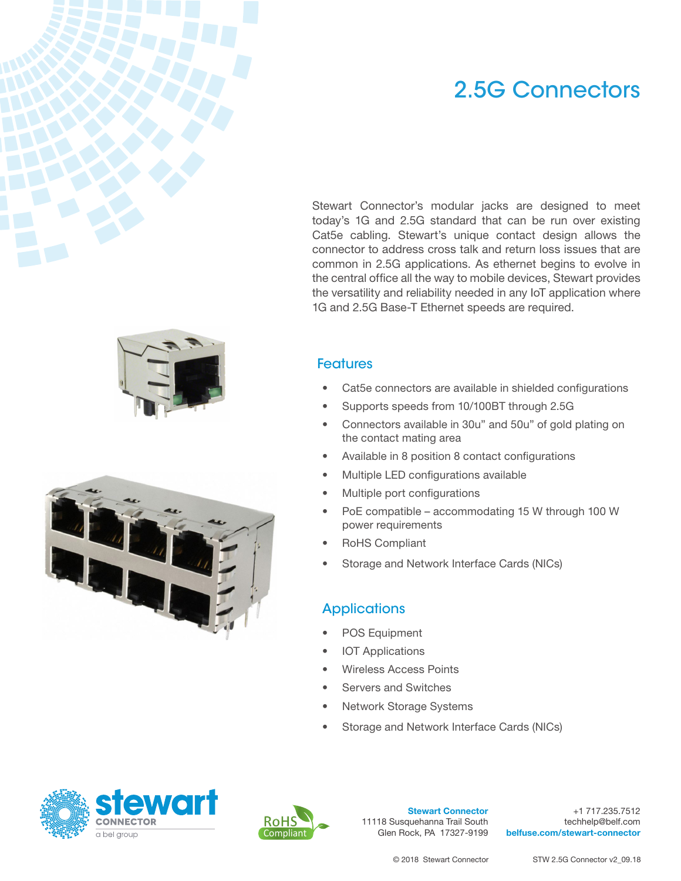## 2.5G Connectors

Stewart Connector's modular jacks are designed to meet today's 1G and 2.5G standard that can be run over existing Cat5e cabling. Stewart's unique contact design allows the connector to address cross talk and return loss issues that are common in 2.5G applications. As ethernet begins to evolve in the central office all the way to mobile devices, Stewart provides the versatility and reliability needed in any IoT application where 1G and 2.5G Base-T Ethernet speeds are required.

## **Features**

- Cat5e connectors are available in shielded configurations
- Supports speeds from 10/100BT through 2.5G
- Connectors available in 30u" and 50u" of gold plating on the contact mating area
- Available in 8 position 8 contact configurations
- Multiple LED configurations available
- Multiple port configurations
- PoE compatible accommodating 15 W through 100 W power requirements
- RoHS Compliant
- Storage and Network Interface Cards (NICs)

## **Applications**

- POS Equipment
- **IOT Applications**
- Wireless Access Points
- Servers and Switches
- **Network Storage Systems**
- Storage and Network Interface Cards (NICs)





Stewart Connector 11118 Susquehanna Trail South Glen Rock, PA 17327-9199

+1 717.235.7512 techhelp@belf.com [belfuse.com/stewart-connector](http://belfuse.com/stewart-connector)